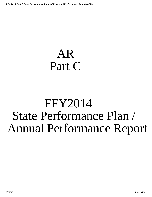# AR Part C

# FFY2014 State Performance Plan / Annual Performance Report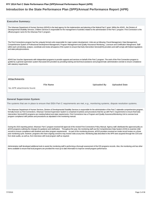# **Introduction to the State Performance Plan (SPP)/Annual Performance Report (APR)**

| <b>Executive Summary:</b>                                                                                                                                                                                                                                                                                                                                                                                                                                                                                                                                     |                                            |  |
|---------------------------------------------------------------------------------------------------------------------------------------------------------------------------------------------------------------------------------------------------------------------------------------------------------------------------------------------------------------------------------------------------------------------------------------------------------------------------------------------------------------------------------------------------------------|--------------------------------------------|--|
| The Arkansas Department of Human Services (ADHS) is the lead agency for the implemention and planning of the federal Part C grant. Within the ADHS, the Division of<br>Developmental Disability Services, Children Services is responsible for the management of activities related to the administration of the Part C program. First Connection is the<br>official program name for the Arkansas Part C program.                                                                                                                                            |                                            |  |
| The First Connections program has five uniquely formed units responsible for major system development. Units are as following: Fiscal Management, Data Management,<br>Comprehensive System of Professional Development Management, Program Management and Quality Assurance/Monitoring, Licensure and Certification Mangement. Staff<br>within each unit develop, analyze, coordinate and review all aspects of the system to ensure that Early Intervention Service(EIS) providers and staff comply with federal regulations<br>and state policy/procedures. |                                            |  |
| ADHS has Voucher Agreements with independent programs to provide supports and services on behalf of the Part C program. The work of the First Connection program is<br>guided by a general supervision system that assist EIS providers by providing training and technical assistance and programmatic administrative oversite to ensure compliance<br>with statutory requirments.                                                                                                                                                                           |                                            |  |
|                                                                                                                                                                                                                                                                                                                                                                                                                                                                                                                                                               |                                            |  |
| <b>Attachments</b>                                                                                                                                                                                                                                                                                                                                                                                                                                                                                                                                            |                                            |  |
| <b>File Name</b>                                                                                                                                                                                                                                                                                                                                                                                                                                                                                                                                              | <b>Uploaded By</b><br><b>Uploaded Date</b> |  |
| No APR attachments found.                                                                                                                                                                                                                                                                                                                                                                                                                                                                                                                                     |                                            |  |

# **General Supervision System:**

The systems that are in place to ensure that IDEA Part C requirements are met, e.g., monitoring systems, dispute resolution systems.

The Arkansas Department of Human Services, Division of Developmental Disability Services is responsible for the administration of the Part C statewide comprehensive program, formally known as First Connections. Arkansas' General Supervision System is comprised of policies and procedures that line up with Part C requirements to ensure that Early Intervention Service(EIS) programs are meeting federal and state requirements. First Connections has a Program and Quality Assurance/Monitoring Unit to oversee local program compliance with policies and procedures as stipulated in the monitoring manual.

During the 2015 reporting period, Arkansas' Part C program received full approval of the revised First Connections Policy Manual. Agency staff, distributed the approved policy to all EIS programs outlining the changes for guidance and clarification. Throughout the year, the monitoring staff use the Comprehensive Data System (CDS) to examine child records to ensure compliance with timelines and other program requirements. As part of the monitoring process, all EIS providers received an onsite record review on a three year monitoring cycle, however, programs who have ongoing concerns may receive visits at any time. Monitoring data described in the APR were acquired through the CDS and from desk audits, as well as, from interviews with local program staff as required.

Adminstrative staff developed additional tools to assist the monitoring staff in performing a thorough assessment of the EIS programs records. Also, the monitoring unit has other items available to ensure that local programs are provided the most up to date information to improve overall program performance.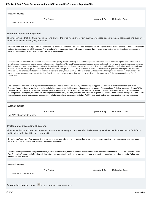| <b>Attachments</b>                                                         |                                                                                                                                                                                                                                                                                                                                                                                                                                                                                                                                                                                                                                                                                                                                                                                                                                                                                                                                                                                                                                                                                                                      |
|----------------------------------------------------------------------------|----------------------------------------------------------------------------------------------------------------------------------------------------------------------------------------------------------------------------------------------------------------------------------------------------------------------------------------------------------------------------------------------------------------------------------------------------------------------------------------------------------------------------------------------------------------------------------------------------------------------------------------------------------------------------------------------------------------------------------------------------------------------------------------------------------------------------------------------------------------------------------------------------------------------------------------------------------------------------------------------------------------------------------------------------------------------------------------------------------------------|
| <b>File Name</b>                                                           | <b>Uploaded By</b><br><b>Uploaded Date</b>                                                                                                                                                                                                                                                                                                                                                                                                                                                                                                                                                                                                                                                                                                                                                                                                                                                                                                                                                                                                                                                                           |
| No APR attachments found.                                                  |                                                                                                                                                                                                                                                                                                                                                                                                                                                                                                                                                                                                                                                                                                                                                                                                                                                                                                                                                                                                                                                                                                                      |
|                                                                            |                                                                                                                                                                                                                                                                                                                                                                                                                                                                                                                                                                                                                                                                                                                                                                                                                                                                                                                                                                                                                                                                                                                      |
|                                                                            |                                                                                                                                                                                                                                                                                                                                                                                                                                                                                                                                                                                                                                                                                                                                                                                                                                                                                                                                                                                                                                                                                                                      |
| <b>Technical Assistance System:</b>                                        |                                                                                                                                                                                                                                                                                                                                                                                                                                                                                                                                                                                                                                                                                                                                                                                                                                                                                                                                                                                                                                                                                                                      |
| early intervention service (EIS) programs.                                 | The mechanisms that the State has in place to ensure the timely delivery of high quality, evidenced based technical assistance and support to                                                                                                                                                                                                                                                                                                                                                                                                                                                                                                                                                                                                                                                                                                                                                                                                                                                                                                                                                                        |
| assist in creating quality action plans and assigning follow up as needed. | Arkansas Part C staff from multiple units, i.e.Professional Development, Monitoring, Data, and Fiscal management work collaboratively to provide ongoing Technical Assistance to<br>state service coordinators and EIS providers. Team members from respective units carefully examine program data on an continual basis to identify strengths and weakness, to                                                                                                                                                                                                                                                                                                                                                                                                                                                                                                                                                                                                                                                                                                                                                     |
| Coordinator.                                                               | Administrative staff systematically reference the philosophy and guiding principles of Early Intervention and provide clarification for best practices. Agency staff also educate EIS<br>providers regarding state and federal requirements as additional guidance. The Lead Agency provides technical assistance through various mechanisms that includes, but is not<br>limited to any combination of the following: Informal discussion with providers, clarification on requested record review, written policy briefs or clarifications, conference calls and<br>webinars, in-service training, provider meetings or onsite assistance. EIS providers are also given technical assistance in response to questions and requests for assistance.<br>Arkansas has assigned staff that addresses program related calls, letters, emails and request for assistance. State staff review the request and determines who whould be the<br>most appropriate person to assist with clarification. Based on the scope of the request, there might be a need to refer the matter to the Policy Manager and/ or the Part C |
| <b>Attachments</b>                                                         | First Connections maintains effective partnerships throughout the state to increase the capacity of the delivery of supports and services to infants and toddlers birth to three.<br>Arkansas Part C continues to receive high quality technical assistance and valuable resources from our national partners: Early Childhood Technical Assistance Center (ECTA<br>Center), IDEA Data Center (IDC), National Center for Systemic Improvement (NCSI), and from the Center for IDEA Early Childhood Data Systems (DaSY). Throughout the<br>reporting period, Lead Agency staff has taken advantage of conference calls, webinars, and other professional development opportunities made available through OSEP and OSEP<br>national technical assistance programs. Lead Agency staff attended national conferences and other Part C related meetings to ensure appropriate program administration.                                                                                                                                                                                                                    |
|                                                                            |                                                                                                                                                                                                                                                                                                                                                                                                                                                                                                                                                                                                                                                                                                                                                                                                                                                                                                                                                                                                                                                                                                                      |
| <b>File Name</b>                                                           | <b>Uploaded By</b><br><b>Uploaded Date</b>                                                                                                                                                                                                                                                                                                                                                                                                                                                                                                                                                                                                                                                                                                                                                                                                                                                                                                                                                                                                                                                                           |
| No APR attachments found                                                   |                                                                                                                                                                                                                                                                                                                                                                                                                                                                                                                                                                                                                                                                                                                                                                                                                                                                                                                                                                                                                                                                                                                      |
|                                                                            |                                                                                                                                                                                                                                                                                                                                                                                                                                                                                                                                                                                                                                                                                                                                                                                                                                                                                                                                                                                                                                                                                                                      |
| <b>Professional Development System:</b>                                    |                                                                                                                                                                                                                                                                                                                                                                                                                                                                                                                                                                                                                                                                                                                                                                                                                                                                                                                                                                                                                                                                                                                      |
|                                                                            | The mechanisms the State has in place to ensure that service providers are effectively providing services that improve results for infants                                                                                                                                                                                                                                                                                                                                                                                                                                                                                                                                                                                                                                                                                                                                                                                                                                                                                                                                                                           |
| and toddlers with disabilities and their families.                         |                                                                                                                                                                                                                                                                                                                                                                                                                                                                                                                                                                                                                                                                                                                                                                                                                                                                                                                                                                                                                                                                                                                      |
|                                                                            |                                                                                                                                                                                                                                                                                                                                                                                                                                                                                                                                                                                                                                                                                                                                                                                                                                                                                                                                                                                                                                                                                                                      |
| webinars, technical assistance, evaluation of presentations and follow-up. | The Arkansas Professional Development System involves many organized elements that include: face to face trainings, onsite coaching, formal assessment of program needs,                                                                                                                                                                                                                                                                                                                                                                                                                                                                                                                                                                                                                                                                                                                                                                                                                                                                                                                                             |
| toddlers and their families.                                               | Statewide training and the use of targeted materials, that with providing clarity to ensure effective implementation of the requirements under Part C and First Connection policy.<br>First Connections' ultimate goal of training activities, is to ensure accountability and promote recommended and evidence-based practices in meeting the needs of infants and                                                                                                                                                                                                                                                                                                                                                                                                                                                                                                                                                                                                                                                                                                                                                  |
| <b>Attachments</b>                                                         |                                                                                                                                                                                                                                                                                                                                                                                                                                                                                                                                                                                                                                                                                                                                                                                                                                                                                                                                                                                                                                                                                                                      |
| <b>File Name</b>                                                           | <b>Uploaded By</b><br><b>Uploaded Date</b>                                                                                                                                                                                                                                                                                                                                                                                                                                                                                                                                                                                                                                                                                                                                                                                                                                                                                                                                                                                                                                                                           |
| No APR attachments found.                                                  |                                                                                                                                                                                                                                                                                                                                                                                                                                                                                                                                                                                                                                                                                                                                                                                                                                                                                                                                                                                                                                                                                                                      |

Stakeholder Involvement: **v** apply this to all Part C results indicators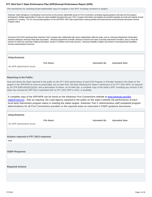The mechanism for soliciting broad stakeholder input on targets in the SPP, including revisions to targets.

Arkansas' State Interagency Coordinating Council serves as the primary stakeholder group for First Connections, providing ongoing guidance and input into the program development. Multiple opportunities for input are made available throughout the year. Part C program information and updates are provided regularly via email and routinely at each quarterly ICC meeting . The ICC has provided guidance on the SPP/APR, SIPP, data requirements, training activities and improvements and local Early Intervention Service Program status.

During the 2014-2015 reporting period, Arkansas' Part C program also collaborated with various stakeholders within the state, such as: Arkansas Department of Education, Arkansas Medicaid, Arkansas Head Start Association, Arkansas Department of Health, Arkansas School for the Deaf, local Early Intervention Providers, Zero to Three the Division of Child Care and Early Childhood Education, Division of Children and Family Services , Arkansas Disability Coalition and Division of Developmental Disabilities Services Administrative Personnel .

# **Attachments**

**File Name Uploaded By Uploaded Date**

No APR attachments found.

#### **Reporting to the Public:**

How and where the State reported to the public on the FFY 2013 performance of each EIS Program or Provider located in the State on the targets in the SPP/APR as soon as practicable, but no later than 120 days following the State's submission of its FFY 2013 APR, as required by 34 CFR §300.602(b)(1)(i)(A); and a description of where, on its Web site, a complete copy of the State's SPP, including any revision if the State has revised the SPP that it submitted with its FFY 2013 APR in 2015, is available.

A complete copy of the SPP/APR can be found on the Arkansas First Connections website at www.arkansas.gov/dhs /ddds/FirstConn. Also as required, the Lead Agency reported to the public on the state's website the performance of each local early intervention program status in meeting the states targets. Arkansas' Part C Administrative staff completed program determinations for all First Connections providers in the required areas as instructed in OSEP guidance documents.

| <b>Uploaded By</b> | <b>Uploaded Date</b> |
|--------------------|----------------------|
|                    |                      |
|                    |                      |
|                    |                      |
|                    |                      |
|                    |                      |
|                    |                      |
|                    |                      |
|                    |                      |
|                    |                      |
|                    |                      |
|                    |                      |
|                    |                      |
|                    |                      |
|                    |                      |
|                    |                      |
|                    |                      |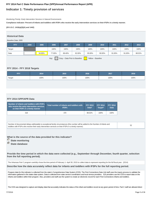# **Indicator 1: Timely provision of services**

Monitoring Priority: Early Intervention Services In Natural Environments

**Compliance indicator: Percent of infants and toddlers with IFSPs who receive the early intervention services on their IFSPs in a timely manner.**

**(20 U.S.C. 1416(a)(3)(A) and 1442)**

## **Historical Data**

#### Baseline Data: 2005

| <b>FFY</b>                                                 | 2004 | 2005   | 2006   | 2007   | 2008   | 2009   | 2010   | 2011   | 2012   | 2013   |
|------------------------------------------------------------|------|--------|--------|--------|--------|--------|--------|--------|--------|--------|
| Target                                                     |      |        | 100%   | 100%   | 100%   | 100%   | 100%   | 100%   | 100%   | 100%   |
| Data                                                       |      | 94.90% | 77.00% | 88.40% | 82.00% | 95.00% | 90.00% | 91.00% | 91.00% | 88.52% |
| Key:<br>Gray - Data Prior to Baseline<br>Yellow - Baseline |      |        |        |        |        |        |        |        |        |        |

# **FFY 2014 - FFY 2018 Targets**

| <b>FFY</b> | 2014 | 2015 | 2016 | 2017 | 2018 |
|------------|------|------|------|------|------|
| Target     | 100% | 100% | 100% | 100% | 100% |

## **FFY 2014 SPP/APR Data**

| Number of infants and toddlers with IFSPs<br>who receive the early intervention services<br>on their IFSPs in a timely manner | Total number of infants and toddlers with<br><b>IFSPs</b> | <b>FFY 2013</b><br>Data* | <b>FFY 2014</b><br>Target* | <b>FFY 2014</b><br><b>Data</b> |
|-------------------------------------------------------------------------------------------------------------------------------|-----------------------------------------------------------|--------------------------|----------------------------|--------------------------------|
| 318                                                                                                                           | 370                                                       | 88.52%                   | 100%                       | 100%                           |

| Number of documented delays attributable to exceptional family circumstances (this number will be added to the Number of infants and |  |
|--------------------------------------------------------------------------------------------------------------------------------------|--|
| toddlers with IFSPs who receive their early intervention services on their IFSPs in a timely manner)                                 |  |

**What is the source of the data provided for this indicator?**

- *<u>State monitoring</u>*
- **State database**

**Provide the time period in which the data were collected (e.g., September through December, fourth quarter, selection from the full reporting period).**

The Arkansas Part C program carefully chose the time period of February 1- April 30, 2015 to collect data to represent reporting for the full fiscal year. (2014)

**Describe how the data accurately reflect data for infants and toddlers with IFSPs for the full reporting period.**

Program data for this indicator is collected from the state's Comprehensive Data System (CDS). The First Connections Data Unit staff uses the inquiry process to validate the information gathered in the states data system. Data is collected from state service coordinators and local service providers. EIS providers use the CDS to report data on the infants and toddlers within their program. Also, providers and staff use the system to create an electronic record for each First Connections infants and toddlers.

The CDS was designed to capture and display data that accurately indicates the status of the infant and toddlers record at any given period of time. Part C staff are allowed direct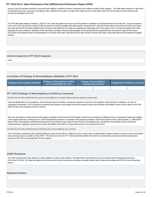access to the EIS providers electronic record and work together to address concerns connected to the children enrolled in their program. The data system allows for a direct flow of information from each user to the Lead Agency. Also, included in the system, as a part of the childs record, the start date of the IFSP, the first date of service that the child received as indicated on the IFSP.

For IFSP with dates starting a February 1- April 30, 2015, data was pulled and sent to each EIS provider for validation and submission back to the Data Unit . Since the program's move to the CDS, the data was chosen for this time period to ensure the quality of the data reported. Arkansas Part C selected the time period close to the end of the year to give new state staff and EIS providers additional time to improve their skill level as it relates to navigating the interrelated parts of the system. Also, to confirm the quality of the data; adequate time was needed for verification of the information submitted. Arkansas Data Manager examined data that was reported for this time period to data for the full year (FFY2014) and established that it is representative of a full year of the state's data because the data includes all areas of the state, all provider types and all categories of eligible children.

## **Actions required in FFY 2013 response**

None

#### **Correction of Findings of Noncompliance Identified in FFY 2013**

| <b>Findings of Noncompliance Verified</b><br>Findings of Noncompliance Identified<br>as Corrected Within One Year \ |  | <b>Findings of Noncompliance</b><br>Subsequently Corrected | <b>Findings Not Yet Verified as Corrected</b> |  |
|---------------------------------------------------------------------------------------------------------------------|--|------------------------------------------------------------|-----------------------------------------------|--|
|                                                                                                                     |  |                                                            |                                               |  |

#### **FFY 2013 Findings of Noncompliance Verified as Corrected**

Describe how the State verified that the source of noncompliance is correctly implementing the regulatory requirements

Upon the identification of noncompliance, the EIS provider issued a finding in writing and required to correct the noncompliance within 90 days of notification. As a part of subsequent examination, First Connections monitoring staff reviewed a percentage of provider records to ensure that all infants and toddlers receive services listed on the IFSP within 30 days of the parental consent for services.

Also, the Lead Agency's staff reviewed a percentage of updated records from each EIS provider to determine if providers are initiating services of subsequent infants and toddlers in the required time frame. Arkansas Part C staff conducted this procedure in accordance with guidance provided in OSEP Memorandum 09-02, dated October 17, 2008 (OSEP Memo 09-02). Administrative staff determined that each EIS provider for whom data formerly showed noncompliance has corrected the noncompliance and is correctively implementing the regulatory requirement for infants and toddlers with IFSPs to receive their services in the required time frame.

Describe how the State verified that each individual case of noncompliance was corrected

First Connections monitoring staff examined individual records of each infant or toddler for whom services were not started within 30 days of parent consent; to ensure that children were receiving services as written on their IFSP's. The review of records for FFY 2013 showed that children who had not received timely services were indeed receiving the services on the IFSP, even though later than the required.

#### **OSEP Response**

The State reported that it used data from a State database to report on this indicator. The State further reported that it did not use data for the full reporting period (July 1, 2014-June 30, 2015). The State described how the time period in which the data were collected accurately reflects data for infants and toddlers with IFSPs for the full reporting period.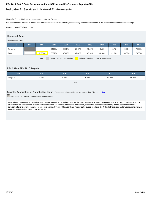# **Indicator 2: Services in Natural Environments**

Monitoring Priority: Early Intervention Services In Natural Environments

**Results indicator: Percent of infants and toddlers with IFSPs who primarily receive early intervention services in the home or community-based settings.**

**(20 U.S.C. 1416(a)(3)(A) and 1442)**

# **Historical Data**

#### Baseline Data: 2005

| <b>FFY</b>                                                                       | 2004 | 2005   | 2006   | 2007   | 2008   | 2009   | 2010   | 2011   | 2012   | 2013   |
|----------------------------------------------------------------------------------|------|--------|--------|--------|--------|--------|--------|--------|--------|--------|
| Target $\geq$                                                                    |      |        | 64.00% | 68.00% | 70.00% | 72.00% | 45.50% | 45.75% | 46.00% | 70.00% |
| Data                                                                             |      | 62.95% | 52.72% | 46.00% | 42.00% | 45.00% | 38.00% | 32.00% | 33.00% | 74.38% |
| Key:<br>Gray - Data Prior to Baseline<br>Yellow - Baseline<br>Blue - Data Update |      |        |        |        |        |        |        |        |        |        |

## **FFY 2014 - FFY 2018 Targets**

| <b>FFY</b>    | 2014   | 2015   | 2016   | 2017   | 2018   |
|---------------|--------|--------|--------|--------|--------|
| Target $\geq$ | 73.00% | 76.00% | 79.00% | 82.00% | 85.00% |

Key:

**Targets: Description of Stakeholder Input** - Please see the Stakeholder Involvement section of the introduction.

Enter additional information about stakeholder involvement

Information and updates are provided to the ICC during quarterly ICC meetings regarding the states progress in achieving set targets. Lead Agency staff continued to work in collaboration with other partners to: deliver services to infants and toddlers in the natural environment, to provide supports to families to help them support their children's development and to develop resources to support programs. Throughout the year, Lead Agency staff provided updates to the ICC including revising and/or updating improvement strategies and reviewing program data as needed.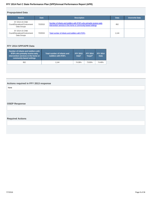# **Prepopulated Data**

| <b>Source</b>                                                    | <b>Date</b> | <b>Description</b>                                                                                                                     | <b>Data</b> | <b>Overwrite Data</b> |
|------------------------------------------------------------------|-------------|----------------------------------------------------------------------------------------------------------------------------------------|-------------|-----------------------|
| SY 2014-15 Child<br>Count/Educational Environment<br>Data Groups | 7/2/2015    | Number of infants and toddlers with IFSPs who primarily receive early<br>intervention services in the home or community-based settings | 852         |                       |
| SY 2014-15 Child<br>Count/Educational Environment<br>Data Groups | 7/2/2015    | Total number of infants and toddlers with IFSPs                                                                                        | 1.144       |                       |

# **FFY 2014 SPP/APR Data**

| Number of infants and toddlers with<br><b>IFSPs who primarily receive early</b><br>intervention services in the home or<br>community-based settings | Total number of infants and<br>toddlers with IFSPs | <b>FFY 2013</b><br>Data* | <b>FFY 2014</b><br>Target* | <b>FFY 2014</b><br><b>Data</b> |
|-----------------------------------------------------------------------------------------------------------------------------------------------------|----------------------------------------------------|--------------------------|----------------------------|--------------------------------|
| 852                                                                                                                                                 | 1.144                                              | 74.38%                   | 73.00%                     | 74.48%                         |

# **Actions required in FFY 2013 response**

None

# **OSEP Response**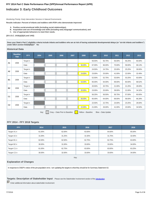# **Indicator 3: Early Childhood Outcomes**

Monitoring Priority: Early Intervention Services In Natural Environments

**Results indicator: Percent of infants and toddlers with IFSPs who demonstrate improved:**

- **A. Positive social-emotional skills (including social relationships);**
- **B. Acquisition and use of knowledge and skills (including early language/ communication); and**
- **C. Use of appropriate behaviors to meet their needs.**

#### **(20 U.S.C. 1416(a)(3)(A) and 1442)**

**Does your State's Part C eligibility criteria include infants and toddlers who are at risk of having substantial developmental delays (or "at-risk infants and toddlers") under IDEA section 632(5)(B)(i)? No**

#### **Historical Data**

|                | <b>Baseline</b><br>Year | <b>FFY</b>    | 2004 | 2005 | 2006 | 2007 | 2008   | 2009   | 2010   | 2011   | 2012   | 2013   |
|----------------|-------------------------|---------------|------|------|------|------|--------|--------|--------|--------|--------|--------|
| A <sub>1</sub> | 2008                    | Target $\geq$ |      |      |      |      |        | 56.50% | 56.75% | 56.00% | 56.25% | 60.00% |
|                |                         | Data          |      |      |      |      | 56.00% | 67.00% | 66.00% | 70.00% | 59.00% | 68.13% |
| A <sub>2</sub> | 2008                    | Target $\geq$ |      |      |      |      |        | 24.50% | 24.75% | 25.00% | 25.25% | 30.00% |
|                |                         | Data          |      |      |      |      | 24.00% | 23.00% | 25.00% | 41.00% | 22.00% | 32.49% |
| <b>B1</b>      | 2008                    | Target $\geq$ |      |      |      |      |        | 52.50% | 52.75% | 53.00% | 53.25% | 63.00% |
|                |                         | Data          |      |      |      |      | 53.00% | 65.00% | 64.00% | 69.00% | 60.00% | 68.52% |
| <b>B2</b>      | 2008                    | Target $\geq$ |      |      |      |      |        | 20.50% | 20.75% | 21.00% | 21.25% | 28.00% |
|                |                         | Data          |      |      |      |      | 20.00% | 23.00% | 25.00% | 39.00% | 21.00% | 34.32% |
| C <sub>1</sub> | 2008                    | Target $\geq$ |      |      |      |      |        | 56.25% | 56.50% | 56.75% | 57.00% | 60.00% |
|                |                         | Data          |      |      |      |      | 56.00% | 65.00% | 64.00% | 69.00% | 58.00% | 66.28% |
| C <sub>2</sub> | 2008                    | Target $\geq$ |      |      |      |      |        | 22.50% | 22.75% | 23.00% | 23.25% | 28.00% |
|                |                         | Data          |      |      |      |      | 22.00% | 21.00% | 26.00% | 41.00% | 23.00% | 34.50% |

Key: Gray – Data Prior to Baseline Yellow – Baseline Blue – Data Update

#### **FFY 2014 - FFY 2018 Targets**

| <b>FFY</b>       | 2014   | 2015   | 2016   | 2017   | 2018   |
|------------------|--------|--------|--------|--------|--------|
| Target A1 $\geq$ | 61.00% | 62.00% | 63.00% | 64.00% | 65.00% |
| Target $A2 \geq$ | 31.00% | 31.25% | 31.50% | 31.75% | 32.00% |
| Target B1 $\geq$ | 62.00% | 62.50% | 62.75% | 62.75% | 63.00% |
| Target B2 $\geq$ | 30.00% | 31.00% | 33.00% | 33.00% | 34.00% |
| Target C1 $\geq$ | 61.00% | 62.75% | 63.00% | 63.00% | 63.25% |
| Target $C2 \geq$ | 30.00% | 32.00% | 33.00% | 33.00% | 34.00% |

Key:

#### **Explanation of Changes**

In response to OSEP's notice of the pre-population error, I am updating the targets to what they should be for Summary Statement A2.

**Targets: Description of Stakeholder Input** - Please see the Stakeholder Involvement section of the introduction.

 $\overline{\triangledown}$  Enter additional information about stakeholder involvement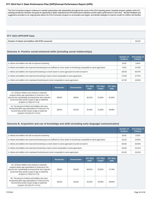The First Connection program continues to maintain partnerships with stakeholders throughout the course of the 2014 reporting period. Quarterly program updates at the ICC meetings provide the members and guest an opportunity to better understand the APR performance indicators and the state's performance in each area. Member feedback and suggestions provided on an ongoing basis allows the First Connection program to set priorities and targets, and identify strategies to improve results for children and families.

## **FFY 2014 SPP/APR Data**

| Number of infants and toddlers with IFSPs assessed | 615.00 |
|----------------------------------------------------|--------|
|----------------------------------------------------|--------|

# **Outcome A: Positive social-emotional skills (including social relationships)**

|                                                                                                                                 | Number of<br><b>Children</b> | Percentage of<br><b>Children</b> |
|---------------------------------------------------------------------------------------------------------------------------------|------------------------------|----------------------------------|
| a. Infants and toddlers who did not improve functioning                                                                         | 16.00                        | 2.60%                            |
| b. Infants and toddlers who improved functioning but not sufficient to move nearer to functioning comparable to same-aged peers | 74.00                        | 12.03%                           |
| c. Infants and toddlers who improved functioning to a level nearer to same-aged peers but did not reach it                      | 236.00                       | 38.37%                           |
| d. Infants and toddlers who improved functioning to reach a level comparable to same-aged peers                                 | 172.00                       | 27.97%                           |
| e. Infants and toddlers who maintained functioning at a level comparable to same-aged peers                                     | 117.00                       | 19.02%                           |

|                                                                                                                                                                                                                                                        | <b>Numerator</b> | <b>Denominator</b> | <b>FFY 2013</b><br>Data* | <b>FFY 2014</b><br>Target* | <b>FFY 2014</b><br><b>Data</b> |
|--------------------------------------------------------------------------------------------------------------------------------------------------------------------------------------------------------------------------------------------------------|------------------|--------------------|--------------------------|----------------------------|--------------------------------|
| A1. Of those children who entered or exited the<br>program below age expectations in Outcome A, the<br>percent who substantially increased their rate of growth<br>by the time they turned 3 years of age or exited the<br>program $(c+d)/(a+b+c+d)$ . | 408.00           | 498.00             | 68.13%                   | 61.00%                     | 81.93%                         |
| A2. The percent of infants and toddlers who were<br>functioning within age expectations in Outcome A by<br>the time they turned 3 years of age or exited the<br>program (d+e)/(a+b+c+d+e).                                                             | 289.00           | 615.00             | 32.49%                   | 31.00%                     | 46.99%                         |

## **Outcome B. Acquisition and use of knowledge and skills (including early language/ communication)**

|                                                                                                                                 | Number of<br><b>Children</b> | Percentage of<br><b>Children</b> |
|---------------------------------------------------------------------------------------------------------------------------------|------------------------------|----------------------------------|
| a. Infants and toddlers who did not improve functioning                                                                         | 34.00                        | 5.53%                            |
| b. Infants and toddlers who improved functioning but not sufficient to move nearer to functioning comparable to same-aged peers | 111.00                       | 18.05%                           |
| c. Infants and toddlers who improved functioning to a level nearer to same-aged peers but did not reach it                      | 225.00                       | 36.59%                           |
| d. Infants and toddlers who improved functioning to reach a level comparable to same-aged peers                                 | 144.00                       | 23.41%                           |
| e. Infants and toddlers who maintained functioning at a level comparable to same-aged peers                                     | 101.00                       | 16.42%                           |

|                                                                                                                                                                                                                                                     | <b>Numerator</b> | <b>Denominator</b> | <b>FFY 2013</b><br>Data* | <b>FFY 2014</b><br>Target* | <b>FFY 2014</b><br><b>Data</b> |
|-----------------------------------------------------------------------------------------------------------------------------------------------------------------------------------------------------------------------------------------------------|------------------|--------------------|--------------------------|----------------------------|--------------------------------|
| B1. Of those children who entered or exited the<br>program below age expectations in Outcome B, the<br>percent who substantially increased their rate of growth<br>by the time they turned 3 years of age or exited the<br>program (c+d)/(a+b+c+d). | 369.00           | 514.00             | 68.52%                   | 62,00%                     | 71.79%                         |
| B2. The percent of infants and toddlers who were<br>functioning within age expectations in Outcome B by<br>the time they turned 3 years of age or exited the<br>program (d+e)/(a+b+c+d+e).                                                          | 245.00           | 615.00             | 34.32%                   | 30.00%                     | 39.84%                         |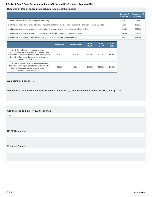# **Outcome C: Use of appropriate behaviors to meet their needs**

|                                                                                                                                 | <b>Number of</b><br><b>Children</b> | Percentage of<br><b>Children</b> |
|---------------------------------------------------------------------------------------------------------------------------------|-------------------------------------|----------------------------------|
| a. Infants and toddlers who did not improve functioning                                                                         | 30.00                               | 4.88%                            |
| b. Infants and toddlers who improved functioning but not sufficient to move nearer to functioning comparable to same-aged peers | 80.00                               | 13.01%                           |
| c. Infants and toddlers who improved functioning to a level nearer to same-aged peers but did not reach it                      | 250.00                              | 40.65%                           |
| d. Infants and toddlers who improved functioning to reach a level comparable to same-aged peers                                 | 164.00                              | 26.67%                           |
| e. Infants and toddlers who maintained functioning at a level comparable to same-aged peers                                     | 91.00                               | 14.80%                           |

|                                                                                                                                                                                                                                                        | <b>Numerator</b> | <b>Denominator</b> | <b>FFY 2013</b><br>Data* | <b>FFY 2014</b><br>Target* | <b>FFY 2014</b><br><b>Data</b> |
|--------------------------------------------------------------------------------------------------------------------------------------------------------------------------------------------------------------------------------------------------------|------------------|--------------------|--------------------------|----------------------------|--------------------------------|
| C1. Of those children who entered or exited the<br>program below age expectations in Outcome C, the<br>percent who substantially increased their rate of growth<br>by the time they turned 3 years of age or exited the<br>program $(c+d)/(a+b+c+d)$ . | 414.00           | 524.00             | 66.28%                   | 61.00%                     | 79.01%                         |
| C2. The percent of infants and toddlers who were<br>functioning within age expectations in Outcome C by<br>the time they turned 3 years of age or exited the<br>program (d+e)/(a+b+c+d+e).                                                             | 255.00           | 615.00             | 34.50%                   | 30.00%                     | 41.46%                         |

Was sampling used? No

**Did you use the Early Childhood Outcomes Center (ECO) Child Outcomes Summary Form (COSF)?** Yes

#### **Actions required in FFY 2013 response**

None

**OSEP Response**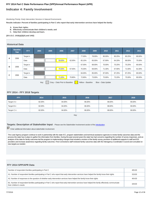# **Indicator 4: Family Involvement**

Monitoring Priority: Early Intervention Services In Natural Environments

**Results indicator: Percent of families participating in Part C who report that early intervention services have helped the family:**

- **A. Know their rights;**
- **B. Effectively communicate their children's needs; and**
- **C. Help their children develop and learn.**

**(20 U.S.C. 1416(a)(3)(A) and 1442)**

# **Historical Data**

|   | <b>Baseline</b><br>Year                                                          | <b>FFY</b>    | 2004 | 2005 | 2006   | 2007   | 2008   | 2009   | 2010   | 2011   | 2012   | 2013   |
|---|----------------------------------------------------------------------------------|---------------|------|------|--------|--------|--------|--------|--------|--------|--------|--------|
| A | 2006                                                                             | Target $\geq$ |      |      |        |        | 77.00% | 78.00% | 80.00% | 80.25% | 80.25% | 80.00% |
|   |                                                                                  | Data          |      |      | 59.00% | 62.00% | 65.10% | 65.00% | 67.90% | 64.20% | 68.00% | 75.00% |
|   |                                                                                  | Target $\geq$ |      |      |        |        | 67.00% | 68.00% | 70.00% | 70.25% | 70.25% | 80.00% |
| в | 2006                                                                             | Data          |      |      | 70.00% | 67.50% | 70.30% | 69.00% | 71.30% | 67.90% | 71.00% | 81.00% |
|   |                                                                                  | Target $\geq$ |      |      |        |        | 84.00% | 85.00% | 87.00% | 87.25% | 87.25% | 80.00% |
| C | 2006                                                                             | Data          |      |      | 71.00% | 70.80% | 72.80% | 73.00% | 75.90% | 73.20% | 75.00% | 80.00% |
|   | Gray - Data Prior to Baseline<br>Key:<br>Yellow - Baseline<br>Blue - Data Update |               |      |      |        |        |        |        |        |        |        |        |

# **FFY 2014 - FFY 2018 Targets**

| <b>FFY</b>      | 2014   | 2015   | 2016   | 2017   | 2018   |
|-----------------|--------|--------|--------|--------|--------|
| Target $A \geq$ | 82.00% | 84.00% | 86.00% | 88.00% | 90.00% |
| Target $B \geq$ | 82.00% | 84.00% | 86.00% | 88.00% | 90.00% |
| Target $C \geq$ | 82.00% | 84.00% | 86.00% | 88.00% | 90.00% |

Key:

# **Targets: Description of Stakeholder Input** - Please see the Stakeholder Involvement section of the introduction.

 $\overline{\triangledown}$  Enter additional information about stakeholder involvement

The Lead Agency program continue to work in partnership with the state ICC, program stakeholders and technical assistance agencies to review family outcomes data and the process the state has in place to gather the information from families. During the past several years the state has had concerns regarding the number of survey responses, and an analysis of the data for family outcomes led the program to implementing changes that included a revision of the family survey, provision of additional supports to staff and EIS providers and increase awareness regarding family outcomes. First Connections staff reviewed family outcomes data with the Interagency Coordination Council and consulted on new targets as needed.

### **FFY 2014 SPP/APR Data**

| Number of respondent families participating in Part C                                                                                                                          | 405.00 |
|--------------------------------------------------------------------------------------------------------------------------------------------------------------------------------|--------|
| A1. Number of respondent families participating in Part C who report that early intervention services have helped the family know their rights                                 | 319.00 |
| A2. Number of responses to the question of whether early intervention services have helped the family know their rights                                                        | 404.00 |
| B1. Number of respondent families participating in Part C who report that early intervention services have helped the family effectively communicate<br>their children's needs | 329.00 |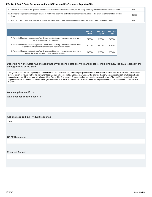| B2. Number of responses to the question of whether early intervention services have helped the family effectively communicate their children's needs                  | 402.00 |
|-----------------------------------------------------------------------------------------------------------------------------------------------------------------------|--------|
| C1. Number of respondent families participating in Part C who report that early intervention services have helped the family help their children develop<br>and learn | 354.00 |
| C2. Number of responses to the question of whether early intervention services have helped the family help their children develop and learn                           | 403.00 |

|                                                                                                                                                                     | <b>FFY 2013</b><br>Data* | <b>FFY 2014</b><br>Target* | <b>FFY 2014</b><br><b>Data</b> |
|---------------------------------------------------------------------------------------------------------------------------------------------------------------------|--------------------------|----------------------------|--------------------------------|
| A. Percent of families participating in Part C who report that early intervention services have<br>helped the family know their rights                              | 75.00%                   | 82.00%                     | 78.96%                         |
| B. Percent of families participating in Part C who report that early intervention services have<br>helped the family effectively communicate their children's needs | 81.00%                   | 82.00%                     | 81.84%                         |
| C. Percent of families participating in Part C who report that early intervention services have<br>helped the family help their children develop and learn          | 80.00%                   | 82.00%                     | 87.84%                         |

#### **Describe how the State has ensured that any response data are valid and reliable, including how the data represent the demographics of the State.**

During the course of the 2014 reporting period the Arkansas Data Unit mailed out 1200 surveys to parents of infants and toddlers who had an active IFSP. Part C families were provided numerous ways to reply to the survey, hard copy via mail, telephone and the Lead Agency website. The following demographics were collected from all respondents : county of residence, child's race and ethnicity and child's EIS provider. As requested, Arkansas families completed and returned surveys . The Lead Agency received survey responses from all 75 counties in the state showing representation of all areas of the state and by race and ethnicity categories of the population of families in Arkansas Part C program.

**Was sampling used?** No

**Was a collection tool used?** No

#### **Actions required in FFY 2013 response**

None

**OSEP Response**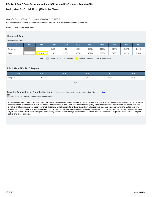# **Indicator 5: Child Find (Birth to One)**

Monitoring Priority: Effective General Supervision Part C / Child Find

**Results indicator: Percent of infants and toddlers birth to 1 with IFSPs compared to national data.**

**(20 U.S.C. 1416(a)(3)(B) and 1442)**

## **Historical Data**

#### Baseline Data: 2005

| <b>FFY</b>    | 2004 | 2005  | 2006  | 2007                          | 2008  | 2009              | 2010               | 2011  | 2012  | 2013  |
|---------------|------|-------|-------|-------------------------------|-------|-------------------|--------------------|-------|-------|-------|
| Target $\geq$ |      |       | 0.42% | 0.45%                         | 0.66% | 0.55%             | 0.55%              | 0.57% | 0.58% | 0.45% |
| Data          |      | 0.39% | 1.02% | 0.72%                         | 0.66% | 0.61%             | 0.96%              | 0.85% | 1.01% | 0.44% |
|               |      | Key:  |       | Gray - Data Prior to Baseline |       | Yellow - Baseline | Blue - Data Update |       |       |       |

#### **FFY 2014 - FFY 2018 Targets**

| <b>FFY</b>    | 2014  | 2015  | 2016  | 2017  | 2018  |
|---------------|-------|-------|-------|-------|-------|
| Target $\geq$ | 0.45% | 0.47% | 0.48% | 0.49% | 0.50% |

Key:

**Targets: Description of Stakeholder Input** - Please see the Stakeholder Involvement section of the *introduction*.

Enter additional information about stakeholder involvement

Throughout the reporting period, Arkansas' Part C program collaborated with various stakeholders within the state. The Lead Agency collaborated with different partners to ensure development and implementation of child find activities for infant's birth to one. First Connections staff and agency associates collaborated with Pediatricians offices, child care providers, and family members to design pamphlets, brochures and other promotional items to assist in reaching parents, child care providers, physicians, and other referral sources. Part C staff conducted a review of Arkansas' birth to one, child find data with the states Interagency Coordinating Council to discuss current activities and establish new targets. The review process consists of agency staff, guiding council members through an examination of current data and procedures. This process leads the Part C program in setting targets and strategies.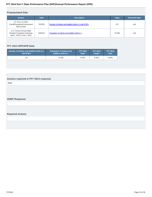# **Prepopulated Data**

| <b>Source</b>                                                                                     | <b>Date</b> | <b>Description</b>                                   | <b>Data</b> | <b>Overwrite Data</b> |
|---------------------------------------------------------------------------------------------------|-------------|------------------------------------------------------|-------------|-----------------------|
| SY 2014-15 Child<br>Count/Educational Environment<br>Data Groups                                  | 7/2/2015    | Number of infants and toddlers birth to 1 with IFSPs | 137         | null                  |
| U.S. Census Annual State<br><b>Resident Population Estimates</b><br>April 1, 2010 to July 1, 2013 | 4/3/2014    | Population of infants and toddlers birth to 1        | 37.936      | null                  |

# **FFY 2014 SPP/APR Data**

| Number of infants and toddlers birth to 1 | <b>Population of infants and</b> | <b>FFY 2013</b> | <b>FFY 2014</b> | <b>FFY 2014</b> |
|-------------------------------------------|----------------------------------|-----------------|-----------------|-----------------|
| with <b>IFSPs</b>                         | toddlers birth to 1              | Data*           | Target*         | <b>Data</b>     |
| 137                                       | 37.936                           | 0.44%           | 0.45%           | $0.36\%$        |

# **Actions required in FFY 2013 response**

None

# **OSEP Response**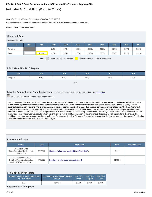# **Indicator 6: Child Find (Birth to Three)**

Monitoring Priority: Effective General Supervision Part C / Child Find

**Results indicator: Percent of infants and toddlers birth to 3 with IFSPs compared to national data.**

**(20 U.S.C. 1416(a)(3)(B) and 1442)**

#### **Historical Data**

#### Baseline Data: 2005

| <b>FFY</b>    | 2004 | 2005  | 2006  | 2007                          | 2008  | 2009              | 2010               | 2011  | 2012  | 2013  |
|---------------|------|-------|-------|-------------------------------|-------|-------------------|--------------------|-------|-------|-------|
| Target $\geq$ |      |       | 2.25% | 2.78%                         | 2.30% | 2.35%             | 2.37%              | 2.37% | 2.37% | 1.20% |
| Data          |      | 2.25% | 2.75% | 2.34%                         | 2.33% | 2.19%             | 2.75%              | 2.73% | 2.72% | 1.19% |
|               |      | Key:  |       | Gray - Data Prior to Baseline |       | Yellow - Baseline | Blue - Data Update |       |       |       |

#### **FFY 2014 - FFY 2018 Targets**

| 30%،<br>1.40%<br>1.50%<br>Target $\geq$ | 1.80%<br>$1.90\%$ |
|-----------------------------------------|-------------------|

Key:

**Targets: Description of Stakeholder Input** - Please see the Stakeholder Involvement section of the *introduction*.

**Enter additional information about stakeholder involvement** 

During the course of the APR period, First Connections program engaged in joint effects with several stakeholders within the state. Arkansas collaborated with different partners to develop and implement child find activities for infants and toddlers birth to three. First Connections Professional Development team members and other agency partners designed brochures, pamplets, and other promotional items to assist in reaching parents, physicians, child care providers, and other referral sources. Also, Lead Agency staff completed a review of First Connections birth to three child find data with the Interagency Coordinating Council . The overview is guided by agency staff and and assist council members through an analysis of current data and procedures. This process assists the Lead Agency in establishing program targets and strategies. First Connections staff and agency associates collaborated with pediatricians offices, child care providers, and family members to design pamplets, brochures and other promotional items to assist in reaching parents, child care providers, physicians, and other referral sources. Part C staff reviewed Arkansas birth to three child find data with the states Interagency Coordinating Council to discuss current activities and establish new targets.

#### **Prepopulated Data**

| <b>Source</b>                                                                                     | <b>Date</b> | <b>Description</b>                                   | <b>Data</b> | <b>Overwrite Data</b> |
|---------------------------------------------------------------------------------------------------|-------------|------------------------------------------------------|-------------|-----------------------|
| SY 2014-15 Child<br>Count/Educational Environment<br>Data Groups                                  | 7/2/2015    | Number of infants and toddlers birth to 3 with IFSPs | 1.144       |                       |
| U.S. Census Annual State<br><b>Resident Population Estimates</b><br>April 1, 2010 to July 1, 2014 | 7/2/2015    | Population of infants and toddlers birth to 3        | 114.914     |                       |

#### **FFY 2014 SPP/APR Data Number of infants and toddlers birth to 3 with IFSPs Population of infants and toddlers birth to 3 FFY 2013 Data\* FFY 2014 Target\* FFY 2014 Data** 1,144 114,914 1.19% 1.30% 1.00% **Explanation of Slippage**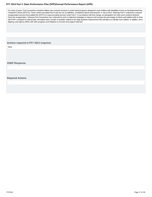For many of years, First Connections included children who received services in center-based programs designed to treat children with disabilities known as Developmental Day Treatment Centers (DDTCS). These centers pre-dated Part H and are not, by definition, considered natural environments. In July of 2013, Arkansas Part C underwent a massive reorganization process that enabled the DDTCS to cease providing services under Part C. In accordance with that change, as anticipated, the child count numbers declined. Since the reorganization, Arkansas First Connections has continued its work to implement strategies to improve and increase the percentage of infants and toddlers birth to three with IFSP's compared to national data. We believe that a number of activities outlined in the State Systemic Improvement Plan will help us to identify more children. In addition, we're aligning Lead Agency efforts with other programs and initiatives to increase and support child find.

#### **Actions required in FFY 2013 response**

None

**OSEP Response**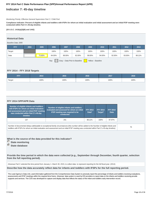# **Indicator 7: 45-day timeline**

#### Monitoring Priority: Effective General Supervision Part C / Child Find

**Compliance indicator: Percent of eligible infants and toddlers with IFSPs for whom an initial evaluation and initial assessment and an initial IFSP meeting were conducted within Part C's 45-day timeline.**

#### **(20 U.S.C. 1416(a)(3)(B) and 1442)**

# **Historical Data**

#### Baseline Data: 2005

| <b>FFY</b> | 2004 | 2005   | 2006   | 2007                          | 2008   | 2009              | 2010   | 2011   | 2012   | 2013   |
|------------|------|--------|--------|-------------------------------|--------|-------------------|--------|--------|--------|--------|
| Target     |      |        | 100%   | 100%                          | 100%   | 100%              | 100%   | 100%   | 100%   | 100%   |
| Data       |      | 75.80% | 84.00% | 88.00%                        | 82.00% | 99.00%            | 94.00% | 92.00% | 93.00% | 88.11% |
|            |      |        | Key:   | Gray - Data Prior to Baseline |        | Yellow - Baseline |        |        |        |        |

#### **FFY 2014 - FFY 2018 Targets**

| <b>FFY</b> | 2014 | 2015 | 2016 | 2017 | 2018 |
|------------|------|------|------|------|------|
| Target     | 100% | 100% | 100% | 100% | 100% |

## **FFY 2014 SPP/APR Data**

| Number of eligible infants and toddlers<br>with IFSPs for whom an initial evaluation<br>and assessment and an initial IFSP meeting<br>was conducted within Part C's 45-day<br>timeline | Number of eligible infants and toddlers<br>evaluated and assessed for whom an initial<br><b>IFSP meeting was required to be</b><br>conducted                                                                                                                                                  | <b>FFY 2013</b><br>Data* | <b>FFY 2014</b><br>Target* | <b>FFY 2014</b><br><b>Data</b> |
|----------------------------------------------------------------------------------------------------------------------------------------------------------------------------------------|-----------------------------------------------------------------------------------------------------------------------------------------------------------------------------------------------------------------------------------------------------------------------------------------------|--------------------------|----------------------------|--------------------------------|
| 137                                                                                                                                                                                    | 241                                                                                                                                                                                                                                                                                           | 88.11%                   | 100%                       | 87.97%                         |
|                                                                                                                                                                                        | Number of documented delays attributable to exceptional family circumstances (this number will be added to the Number of eligible infants and<br>toddlers with IFSPs for whom an initial evaluation and assessment and an initial IFSP meeting was conducted within Part C's 45-day timeline) |                          |                            |                                |

**What is the source of the data provided for this indicator?**

- *<u>State monitoring</u>*
- **State database**

**Provide the time period in which the data were collected (e.g., September through December, fourth quarter, selection from the full reporting period).**

Arkansas Part C selected the time period from January 1- March 30, 2015, to collect data to represent reporting for the full fiscal year. (2014)

**Describe how the data accurately reflect data for infants and toddlers with IFSPs for the full reporting period.**

The Lead Agency's Data Unit, used information gathered from the Comprehensive Data System to precisely report the percentage of infants and toddlers receiving evaluations, assessments and IFSP meetings within the required time frame. Arkansas' data system is used by EIS providers to report data on the infants and toddlers receiving provide supports and services. The CDS was developed to capture and display data that reflects the status of the infant and toddlers early intervention record.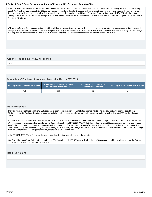In the CDS, each childs file includes the following items; start date of the IFSP and the first date of service as indicated on the childs IFSP. During the course of the reporting period, Part C staff are given access to the EIS providers electronic record work together to assist in finding a solution to address concerns surrounding the children they serve. This information is collected from Independent Service providers, state service coordinators and License Community Programs. Data was pulled for IFSP, with dates starting January 1- March 30, 2015 and sent to each EIS provider for verification and returned. Part C, with extreme care selected this time period in order to capture the same children as reported in Indicator 1 .

With guidance from the Data Manager, staff examined if the children who received their services in a timely manner also had an evalution and assessment and IFSP developed in 45 days. In order to ensure the accuracy of the data; adequate time was given for verification of program data. A final analysis of all information was provided by the Data Manager regarding data that was reported for this time period to data for the full year (FFY2015) and determined that it is reflective of a full year of data.

#### **Actions required in FFY 2013 response**

None

# **Correction of Findings of Noncompliance Identified in FFY 2013**

| Findings of Noncompliance Identified | <b>Findings of Noncompliance Verified</b><br>as Corrected Within One Year | <b>Findings of Noncompliance</b><br>Subsequently Corrected | Findings Not Yet Verified as Corrected |
|--------------------------------------|---------------------------------------------------------------------------|------------------------------------------------------------|----------------------------------------|
| null                                 | null                                                                      | nul                                                        |                                        |

#### **OSEP Response**

The State reported that it used data from a State database to report on this indicator. The State further reported that it did not use data for the full reporting period (July 1, 2014-June 30, 2015). The State described how the time period in which the data were collected accurately reflects data for infants and toddlers with IFSPs for the full reporting period.

Because the State reported less than 100% compliance for FFY 2014, the State must report on the status of correction of noncompliance identified in FFY 2014 for this indicator. When reporting on the correction of noncompliance, the State must report, in the FFY 2015 SPP/APR, that it has verified that each EIS program or provider with noncompliance identified in FFY 2014 for this indicator: (1) is correctly implementing the specific regulatory requirements (i.e., achieved 100% compliance) based on a review of updated data such as data subsequently collected through on-site monitoring or a State data system; and (2) has corrected each individual case of noncompliance, unless the child is no longer within the jurisdiction of the EIS program or provider, consistent with OSEP Memo 09-02.

In the FFY 2015 SPP/APR, the State must describe the specific actions that were taken to verify the correction.

If the State did not identify any findings of noncompliance in FFY 2014, although its FFY 2014 data reflect less than 100% compliance, provide an explanation of why the State did not identify any findings of noncompliance in FFY 2014.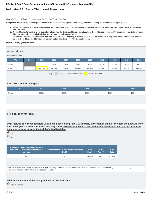# **Indicator 8A: Early Childhood Transition**

Monitoring Priority: Effective General Supervision Part C / Effective Transition

**Compliance indicator: The percentage of toddlers with disabilities exiting Part C with timely transition planning for whom the Lead Agency has:**

- **Developed an IFSP with transition steps and services at least 90 days, and at the discretion of all parties, not more than nine months, prior to the toddler's A. third birthday;**
- **Notified (consistent with any opt-out policy adopted by the State) the SEA and the LEA where the toddler resides at least 90 days prior to the toddler's third B. birthday for toddlers potentially eligible for Part B preschool services; and**
- C. Conducted the transition conference held with the approval of the family at least 90 days, and at the discretion of all parties, not more than nine months, **prior to the toddler's third birthday for toddlers potentially eligible for Part B preschool services.**

**(20 U.S.C. 1416(a)(3)(B) and 1442)**

#### **Historical Data**

Baseline Data: 2005

| <b>FFY</b> | 2004 | 2005   | 2006   | 2007   | 2008   | 2009   | 2010   | 2011   | 2012   | 2013   |
|------------|------|--------|--------|--------|--------|--------|--------|--------|--------|--------|
| Target     |      |        | 100%   | 100%   | 100%   | 100%   | 100%   | 100%   | 100%   | 100%   |
| Data       |      | 54.00% | 99.00% | 55.00% | 88.00% | 96.00% | 91.00% | 90.00% | 96.00% | 85.14% |
|            |      |        |        |        |        |        |        |        |        |        |

Key: Gray – Data Prior to Baseline Yellow – Baseline

#### **FFY 2014 - FFY 2018 Targets**

| FFY.   | 2014 | 2015 | 2016 | 2017 | 2018 |
|--------|------|------|------|------|------|
| Target | 100% | 100% | 100% | 100% | 100% |

# **FFY 2014 SPP/APR Data**

**Data include only those toddlers with disabilities exiting Part C with timely transition planning for whom the Lead Agency has developed an IFSP with transition steps and services at least 90 days, and at the discretion of all parties, not more than nine months, prior to the toddler's third birthday.**

 Yes  $C_{N0}$ 

| Number of children exiting Part C who<br>have an IFSP with transition steps and<br>services | Number of toddlers with disabilities exiting FFY 2013<br>Part C | Data*  | <b>FFY 2014</b><br>Target* | <b>FFY 2014</b><br><b>Data</b> |
|---------------------------------------------------------------------------------------------|-----------------------------------------------------------------|--------|----------------------------|--------------------------------|
| 242                                                                                         | 263                                                             | 85.14% | 100%                       | 92.02%                         |

Number of documented delays attributable to exceptional family circumstances (this number will be added to the Number of children exiting Number of documented delays atmodiable to exceptional family circumstances (this number will be added to the Number of Children exting<br>Part C who have an IFSP with transition steps and services)

# **What is the source of the data provided for this indicator?**

State monitoring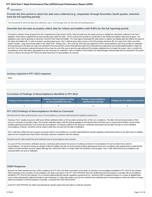# **C** State database

**Provide the time period in which the data were collected (e.g., September through December, fourth quarter, selection from the full reporting period).**

The time period for which the data were collected is July 1, 2014 through June 30, 2015 (the full reporting period).

#### **Describe how the data accurately reflect data for infants and toddlers with IFSPs for the full reporting period.**

The data for indicator 8 was acquired from the Comprehensive Data System (CDS). Data Unit staff uses the inquiry process to validate the information collected in the Part C database. Informantion is gathered from each provider types within the state. CDS is used by EIS providers to report data on the infants and toddlers within their program. The database is also used to generate an electronic record for each infant and toddler. The Lead Agency developed the data system to capture and display data that reflects the status of the infant and toddlers file. In order to assisit in resolving data issues, Part C staff are given direct access to the EIS providers electronic file. As a part of the child's record, the system includes , steps and services listed on the child's IFSP. Starting July 1, 2014-June 30, 2015 data was pulled from IFSP's and forwarded to each EIS provider for verification and returned back to the data unit. Data was selected for this time period to ensure that staff had proper time understand the requirments surrounding implementation of data into the CDS. First Connections selected the period of time close the end of the year to give the state staff and EIS providers additional time to master the system. Also, to confirm the accurateness of the information; appropriate time was necessary for verification. Upon completion of the analysis, the Data Manager reviewed data that was reported for this period of time to data for the full year (FFY2014) and determined that it is representative of a full year.

#### **Actions required in FFY 2013 response**

None

#### **Correction of Findings of Noncompliance Identified in FFY 2013**

| <b>Findings of Noncompliance Identified</b> | <b>Findings of Noncompliance Verified</b><br>as Corrected Within One Year |  | <b>Findings Not Yet Verified as Corrected</b> |
|---------------------------------------------|---------------------------------------------------------------------------|--|-----------------------------------------------|
|                                             |                                                                           |  |                                               |

#### **FFY 2013 Findings of Noncompliance Verified as Corrected**

Describe how the State verified that the source of noncompliance is correctly implementing the regulatory requirements

Arkansas Part C Quality Assurance staff issued official notification letters to EIS providers advising them of their non-compliance. The letter informed local providers of their scores in connection to transition steps. EIS provider notification letters cited the federal regulations and informed them that they have to ensure that all children receive timely transition planning and that they must correct all noncompliance. Procedures outlined in the Arkansas' monitoring manual gives the providers 90 days to correct identified noncompliance, however, correction must be made no later than one year from the date of notification.

Part C staff also verified that each program previously cited for noncompliance is correctly implementing the specific regulatory requirements based on the staff review of updated data from the Comprehensive Data System indicating continued compliance with this indicator.

Describe how the State verified that each individual case of noncompliance was corrected

As a part of First Connections verification process, monitoring staff conducts the process of verifying correction of noncompliance for each provider that is cited for noncompliance. The process involves an analysis of files for toddlers who did not receive timely transition planning and were not in compliance with requirements to verify that the children received transition services (steps) although late, unless that child is no longer within the jurisdiction of the program. Part C staff verfied that all noncompliance was corrected within one year of notification.

#### **OSEP Response**

Because the State reported less than 100% compliance for FFY 2014, the State must report on the status of correction of noncompliance identified in FFY 2014 for this indicator. When reporting on the correction of noncompliance, the State must report, in the FFY 2015 SPP/APR, that it has verified that each EIS program or provider with noncompliance identified in FFY 2014 for this indicator: (1) is correctly implementing the specific regulatory requirements (i.e., achieved 100% compliance) based on a review of updated data such as data subsequently collected through on-site monitoring or a State data system; and (2) has corrected each individual case of noncompliance, unless the child is no longer within the jurisdiction of the EIS program or provider, consistent with OSEP Memo 09-02.

In the FFY 2015 SPP/APR, the State must describe the specific actions that were taken to verify the correction.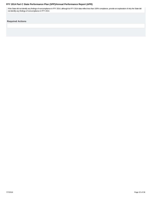If the State did not identify any findings of noncompliance in FFY 2014, although its FFY 2014 data reflect less than 100% compliance, provide an explanation of why the State did not identify any findings of noncompliance in FFY 2014.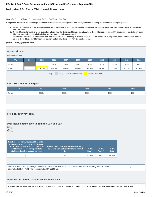# **Indicator 8B: Early Childhood Transition**

Monitoring Priority: Effective General Supervision Part C / Effective Transition

**Compliance indicator: The percentage of toddlers with disabilities exiting Part C with timely transition planning for whom the Lead Agency has:**

- **Developed an IFSP with transition steps and services at least 90 days, and at the discretion of all parties, not more than nine months, prior to the toddler's A. third birthday;**
- **Notified (consistent with any opt-out policy adopted by the State) the SEA and the LEA where the toddler resides at least 90 days prior to the toddler's third B. birthday for toddlers potentially eligible for Part B preschool services; and**
- C. Conducted the transition conference held with the approval of the family at least 90 days, and at the discretion of all parties, not more than nine months, **prior to the toddler's third birthday for toddlers potentially eligible for Part B preschool services.**

**(20 U.S.C. 1416(a)(3)(B) and 1442)**

#### **Historical Data**

Baseline Data: 2005

| <b>FFY</b> | 2004 | 2005   | 2006   | 2007   | 2008   | 2009   | 2010   | 2011   | 2012   | 2013   |
|------------|------|--------|--------|--------|--------|--------|--------|--------|--------|--------|
| Target     |      |        | 100%   | 100%   | 100%   | 100%   | 100%   | 100%   | 100%   | 100%   |
| Data       |      | 79.00% | 96.40% | 89.00% | 88.00% | 95.00% | 96.00% | 91.00% | 97.00% | 87.61% |
|            |      |        |        |        |        |        |        |        |        |        |

Key: Gray – Data Prior to Baseline Yellow – Baseline

#### **FFY 2014 - FFY 2018 Targets**

| <b>FFY</b> | 2014 | 2015 | 2016 | 2017 | 2018         |
|------------|------|------|------|------|--------------|
| Target     | 100% | 100% | 100% | 100% | 0.00<br>100% |

#### **FFY 2014 SPP/APR Data**

## **Data include notification to both the SEA and LEA**



| Number of toddlers with disabilities exiting<br>Part C where notification to the SEA and<br>LEA occurred at least 90 days prior to their<br>third birthday for toddlers potentially<br>eligible for Part B preschool services | Number of toddlers with disabilities exiting<br>Part C who were potentially eligible for Part<br>в | <b>FFY 2013</b><br>Data* | <b>FFY 2014</b><br>Target* | <b>FFY 2014</b><br><b>Data</b> |
|-------------------------------------------------------------------------------------------------------------------------------------------------------------------------------------------------------------------------------|----------------------------------------------------------------------------------------------------|--------------------------|----------------------------|--------------------------------|
| 252                                                                                                                                                                                                                           | 263                                                                                                | 87.61%                   | 100%                       | 95.82%                         |

Number of parents who opted out (this number will be subtracted from the number of toddlers with disabilities exiting Part C who were number of parents who opted out (this number will be subtracted from the number of toddiers with disabilities exiting Part C who were<br>potentially eligible for Part B when calculating the FFY 2014 Data)

# **Describe the method used to collect these data**

The state used the State Data System to collect this data. Part C selected the time period from July 1, 2014 to June 30, 2015 to reflect reporting for the full fiscal year.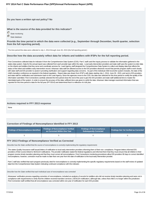**Do you have a written opt-out policy? No**

#### **What is the source of the data provided for this indicator?**

State monitoring

**C** State database

**Provide the time period in which the data were collected (e.g., September through December, fourth quarter, selection from the full reporting period).**

The time period this data were collected is July 1, 2014 through June 30, 2015 (the full reporting period.)

#### **Describe how the data accurately reflect data for infants and toddlers with IFSPs for the full reporting period.**

First Connections collected data for Indicator 8 from the Comprehensive Data System (CDS). Part C staff used the inquiry process to validate the information gathered in the states data system. Data for the annual report was collected from each provider type within the state. Local early intervention providers and state staff uses the system to enter data on the infants and toddlers that they serve and coordinate services for. Lead Agency staff designed the Comprehensive Data System to collect and display data that reflects the status of the infant and toddlers early intervention record. Arkansas' data staff are allowed access to the EIS providers electronic record that permits program staff to work closely with state staff and EIS provider to assist in providing clarification and support regarding data concerns. As part of the individual child record, the system includes, the date of the child's transition conference as required in the federal regulation. Report data was drawn from IFSP's with dates starting July 1, 2014- June 30 , 2015, and sent to EIS providers and state staff for certification and submission back to the Lead Agency. Since the agencies move to the CDS, the data was selected for this time period to certify the quality of the information submitted. First Connections carefully selected the time period close the end of the year to give the EIS providers and state staff additional time to master the interrelated parts of the system. In order to ensure the accuracy of the data; sufficient time was given to verify the data. Arkansas' data manager examined information that was reported for this time period to data for the full year (FFY2014) and determined that it is reflective of a full year.

#### **Actions required in FFY 2013 response**

None

#### **Correction of Findings of Noncompliance Identified in FFY 2013**

| Findings of Noncompliance Identified | <b>Findings of Noncompliance Verified</b><br>as Corrected Within One Year | <b>Findings of Noncompliance</b><br><b>Subsequently Corrected</b> | <b>Findings Not Yet Verified as Corrected</b> |
|--------------------------------------|---------------------------------------------------------------------------|-------------------------------------------------------------------|-----------------------------------------------|
|                                      |                                                                           |                                                                   |                                               |

#### **FFY 2013 Findings of Noncompliance Verified as Corrected**

Describe how the State verified that the source of noncompliance is correctly implementing the regulatory requirements

The states Quality Assurance staff issued letters of notification to local early intervention providers informing them of their non- compliance. Program letters informed EIS providers of their scores linked to SEA/LEA notifications. The provider notification stated the federal regulations and informed them that they must ensure that all children in their program receive timely transition planning and that they must correct all noncompliance. First Connections monitoring procedures allow EIS providers 90 days to correct identified noncompliance, however, correction must be made no later than one year from the date of notification to the local early intervention provider.

Part C staff also verified that each program previously cited for noncompliance is correctly implementing the specific regulatory requirements based on the staff review of updated data from the Comprehensive Data System indicating continued compliance with this indicator.

#### Describe how the State verified that each individual case of noncompliance was corrected

Arkanasas' verification process regarding correction of noncompliance, included an analysis of records for toddlers who did not receive timely transition planning and were not in compliance with requirements to verify that the children received transition services ( SEA/LEA notification ) although late, unless that child is no longer within the jurisdiction. First Connection staff certified that all noncompliance was corrected within one year of notification for each EIS provider.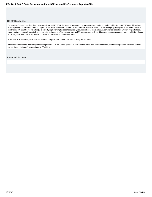#### **OSEP Response**

Because the State reported less than 100% compliance for FFY 2014, the State must report on the status of correction of noncompliance identified in FFY 2014 for this indicator. When reporting on the correction of noncompliance, the State must report, in the FFY 2015 SPP/APR, that it has verified that each EIS program or provider with noncompliance identified in FFY 2014 for this indicator: (1) is correctly implementing the specific regulatory requirements (i.e., achieved 100% compliance) based on a review of updated data such as data subsequently collected through on-site monitoring or a State data system; and (2) has corrected each individual case of noncompliance, unless the child is no longer within the jurisdiction of the EIS program or provider, consistent with OSEP Memo 09-02.

In the FFY 2015 SPP/APR, the State must describe the specific actions that were taken to verify the correction.

If the State did not identify any findings of noncompliance in FFY 2014, although its FFY 2014 data reflect less than 100% compliance, provide an explanation of why the State did not identify any findings of noncompliance in FFY 2014.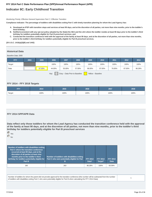# **Indicator 8C: Early Childhood Transition**

Monitoring Priority: Effective General Supervision Part C / Effective Transition

**Compliance indicator: The percentage of toddlers with disabilities exiting Part C with timely transition planning for whom the Lead Agency has:**

- **Developed an IFSP with transition steps and services at least 90 days, and at the discretion of all parties, not more than nine months, prior to the toddler's A. third birthday;**
- **Notified (consistent with any opt-out policy adopted by the State) the SEA and the LEA where the toddler resides at least 90 days prior to the toddler's third B. birthday for toddlers potentially eligible for Part B preschool services; and**
- C. Conducted the transition conference held with the approval of the family at least 90 days, and at the discretion of all parties, not more than nine months, **prior to the toddler's third birthday for toddlers potentially eligible for Part B preschool services.**

**(20 U.S.C. 1416(a)(3)(B) and 1442)**

#### **Historical Data**

Baseline Data: 2005

| <b>FFY</b> | 2004 | 2005   | 2006   | 2007   | 2008   | 2009   | 2010   | 2011   | 2012   | 2013   |
|------------|------|--------|--------|--------|--------|--------|--------|--------|--------|--------|
| Target     |      |        | 100%   | 100%   | 100%   | 100%   | 100%   | 100%   | 100%   | 100%   |
| Data       |      | 87.00% | 44.00% | 55.00% | 57.00% | 86.00% | 87.00% | 76.00% | 87.00% | 86.28% |
|            |      |        |        |        |        |        |        |        |        |        |

Key: Gray – Data Prior to Baseline Yellow – Baseline

#### **FFY 2014 - FFY 2018 Targets**

| FFY    | 2014 | 2015 | 2016 | 2017 | 2018 |
|--------|------|------|------|------|------|
| Target | 100% | 100% | 100% | 100% | 100% |

#### **FFY 2014 SPP/APR Data**

**Data reflect only those toddlers for whom the Lead Agency has conducted the transition conference held with the approval of the family at least 90 days, and at the discretion of all parties, not more than nine months, prior to the toddler's third birthday for toddlers potentially eligible for Part B preschool services**



**Number of toddlers with disabilities exiting Part C where the transition conference occurred at least 90 days, and at the discretion of all parties at least nine months prior to the toddler's third birthday for toddlers potentially eligible for Part B Number of toddlers with disabilities exiting Part C who were potentially eligible for Part B FFY 2013 Data\* FFY 2014 Target\* FFY 2014 Data** 160 263 86.28% 100% 83.59%

Number of toddlers for whom the parent did not provide approval for the transition conference (this number will be subtracted from the number of toddlers with disabilities exiting Part C who were potentially eligible for Part B when calculating the FFY 2014 Data) 1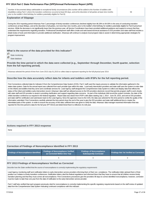Number of documented delays attributable to exceptional family circumstances (this number will be added to the Number of toddlers with disabilities exiting Part C where the transition conference occurred at least 90 days, and at the discretion of all parties at least nine months prior to the toddler's third birthday for toddlers potentially eligible for Part B)

59

# **Explanation of Slippage**

During the 2014 reporting period Arkansas Part C percentage of timely transition conferences declined slightly from 86.28% to 84.00% in the area of conducting transition conferences at least 90days, and at the discretion of all parties, not more than nine months, prior to the toddler's third birthday for toddlers potentially eligible for Part B preschool services. While the decrease is not significantly lower than the previous year, all Service Coordinators have been provided additional guidance and support to ensure that they understand the requirements regarding transition. Professional Development staff offers onsite and web based technical assistance to EIS providers and state staff that includes a detail review of tools and information to provide additional clarification. Arkansas will continue to analysis local program data to assist in determining appropriate strategies for program improvement.

#### **What is the source of the data provided for this indicator?**

State monitoring

State database

**Provide the time period in which the data were collected (e.g., September through December, fourth quarter, selection from the full reporting period).**

Arkansas selected the period of time from June 2013-July 01,2015 to collect data to represent reporting for the full physical year 2014.

#### **Describe how the data accurately reflect data for infants and toddlers with IFSPs for the full reporting period.**

First Connections collected data for Indicator 8 from the Comprehensive Data System (CDS). Part C staff used the inquiry process to validate the information gathered in the states data system. Data for the annual report was collected from each provider type within the state. Local early intervention providers and state staff uses the system to enter data on the infants and toddlers that they serve and coordinate services for. Lead Agency staff designed the Comprehensive Data System to collect and display data that reflects the status of the infant and toddlers early intervention record. Arkansas' data staff are allowed access to the EIS providers electronic record that permits program staff to work closely with state staff and EIS provider to assist in providing clarification and support regarding data concerns. As part of the individual child record, the system includes, the date of the childs transition conference as required in the federal regulation. Report data was drawn from IFSP's with dates starting July 1, 2014 - June 30, 2015, and sent to EIS providers and state staff for certification and submission back to the Lead Agency. Since the agencies move to the CDS, the data was selected for this time period to certify the quality of the information submitted. First Connections carefully selected the time period close the end of the year to give the EIS providers and state staff additional time to master the interrelated parts of the system. In order to ensure the accuracy of the data; sufficient time was given to verify the data. Arkansas' data manager examined information that was reported for this time period to data for the full year (FFY2014) and determined that it is reflective of a full year.

#### **Actions required in FFY 2013 response**

None

#### **Correction of Findings of Noncompliance Identified in FFY 2013**

| <b>Findings of Noncompliance Identified</b> | <b>Findings of Noncompliance Verified</b><br>as Corrected Within One Year | <b>Findings of Noncompliance</b><br>Subsequently Corrected | <b>Findings Not Yet Verified as Corrected</b> |
|---------------------------------------------|---------------------------------------------------------------------------|------------------------------------------------------------|-----------------------------------------------|
|                                             |                                                                           |                                                            |                                               |

#### **FFY 2013 Findings of Noncompliance Verified as Corrected**

Describe how the State verified that the source of noncompliance is correctly implementing the regulatory requirements

Lead Agency monitoring staff sent notification letters to early intervention service providers informing them of their non- compliance. The notification letter advised them of their position as it relates to timely transition conferences. Notification letters cited the federal regulations and informed them that they have to ensure that all children receive timely transition planning and that they must correct all noncompliance. First Connections procedures give the providers 90 days to correct identified noncompliance, however, correction must be made no later than one year from the date of notification to the early intervention service provider.

Part C staff also verified that each program previously cited for noncompliance is correctly implementing the specific regulatory requirements based on the staff review of updated data from the Comprehensive Data System indicating continued compliance with this indicator.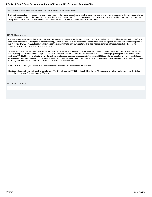Describe how the State verified that each individual case of noncompliance was corrected

The Part C process of verifying correction of noncompliance, involved an examination of files for toddlers who did not receive timely transition planning and were not in compliance with requirements to verify that the children received transition services ( transition conference) although late, unless that child is no longer within the jurisdiction of the program. Quality Assurance staff confirmed that all noncompliance was corrected within one year of notification to the EIS provider.

#### **OSEP Response**

The State appropriately reported that, "Report data was drawn from IFSP's with dates starting July 1, 2014- June 30, 2015, and sent to EIS providers and state staff for certification and submission back to the Lead Agency." Under the heading, "Provide the time period in which the data were collected," the State reported that, "Arkansas selected the period of time from June 2013-July 01,2015 to collect data to represent reporting for the full physical year 2014." The State needs to confirm that the data it reported in the FFY 2014 SPP/APR are from FFY 2014 (July 1, 2014 - June 30, 2015).

Because the State reported less than 100% compliance for FFY 2014, the State must report on the status of correction of noncompliance identified in FFY 2014 for this indicator. When reporting on the correction of noncompliance, the State must report, in the FFY 2015 SPP/APR, that it has verified that each EIS program or provider with noncompliance identified in FFY 2014 for this indicator: (1) is correctly implementing the specific regulatory requirements (i.e., achieved 100% compliance) based on a review of updated data such as data subsequently collected through on-site monitoring or a State data system; and (2) has corrected each individual case of noncompliance, unless the child is no longer within the jurisdiction of the EIS program or provider, consistent with OSEP Memo 09-02.

In the FFY 2015 SPP/APR, the State must describe the specific actions that were taken to verify the correction.

If the State did not identify any findings of noncompliance in FFY 2014, although its FFY 2014 data reflect less than 100% compliance, provide an explanation of why the State did not identify any findings of noncompliance in FFY 2014.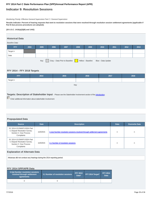# **Indicator 9: Resolution Sessions**

Monitoring Priority: Effective General Supervision Part C / General Supervision

**Results indicator: Percent of hearing requests that went to resolution sessions that were resolved through resolution session settlement agreements (applicable if Part B due process procedures are adopted).**

#### **(20 U.S.C. 1416(a)(3)(B) and 1442)**

# **Historical Data**

#### Baseline Data:

| <b>FFY</b>                                                                       | 2004 | 2005 | 2006 | 2007 | 2008 | 2009 | 2010 | 2011 | 2012 | 2013 |
|----------------------------------------------------------------------------------|------|------|------|------|------|------|------|------|------|------|
| Target $\geq$                                                                    |      |      |      |      |      |      |      |      |      |      |
| Data                                                                             |      |      |      |      |      |      |      |      |      |      |
| Gray - Data Prior to Baseline<br>Key:<br>Yellow - Baseline<br>Blue - Data Update |      |      |      |      |      |      |      |      |      |      |

#### **FFY 2014 - FFY 2018 Targets**

| <b>FFY</b>    | 2014 | 2015 | 2016 | 2017 | 2018 |
|---------------|------|------|------|------|------|
| Target $\geq$ |      |      |      |      |      |

Key:

**Targets: Description of Stakeholder Input** - Please see the Stakeholder Involvement section of the *introduction*.

Enter additional information about stakeholder involvement

### **Prepopulated Data**

| <b>Source</b>                                                                                      | <b>Date</b> | <b>Description</b>                                                       | <b>Data</b> | <b>Overwrite Data</b> |
|----------------------------------------------------------------------------------------------------|-------------|--------------------------------------------------------------------------|-------------|-----------------------|
| SY 2014-15 EMAPS IDEA Part<br>C Dispute Resolution Survey;<br>Section C: Due Process<br>Complaints | 11/5/2015   | 3.1(a) Number resolution sessions resolved through settlement agreements | n           | n                     |
| SY 2014-15 EMAPS IDEA Part<br>C Dispute Resolution Survey;<br>Section C: Due Process<br>Complaints | 11/5/2015   | 3.1 Number of resolution sessions                                        | n           |                       |

# **Explanation of Alternate Data**

Arkansas did not conduct any hearings during the 2014 reporting period.

# **FFY 2014 SPP/APR Data**

| 3.1(a) Number resolution sessions<br>resolved through settlement<br>agreements | 3.1 Number of resolution sessions | <b>FFY 2013</b><br>Data* | FFY 2014 Target* | <b>FFY 2014</b><br><b>Data</b> |
|--------------------------------------------------------------------------------|-----------------------------------|--------------------------|------------------|--------------------------------|
|                                                                                |                                   |                          |                  |                                |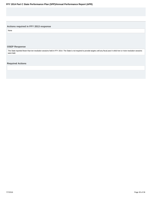# **Actions required in FFY 2013 response**

None

# **OSEP Response**

The State reported fewer than ten resolution sessions held in FFY 2014. The State is not required to provide targets until any fiscal year in which ten or more resolution sessions were held.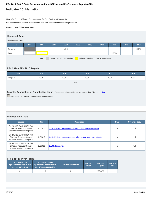# **Indicator 10: Mediation**

Monitoring Priority: Effective General Supervision Part C / General Supervision

**Results indicator: Percent of mediations held that resulted in mediation agreements.**

**(20 U.S.C. 1416(a)(3)(B) and 1442)**

#### **Historical Data**

#### Baseline Data: 2005

| <b>FFY</b>                                                                       | 2004 | 2005 | 2006 | 2007 | 2008 | 2009 | 2010 | 2011 | 2012 | 2013 |
|----------------------------------------------------------------------------------|------|------|------|------|------|------|------|------|------|------|
| Target $\geq$                                                                    |      |      |      | 100% |      |      |      |      |      | 100% |
| Data                                                                             |      |      |      |      |      |      |      | 100% |      |      |
| Key:<br>Gray - Data Prior to Baseline<br>Yellow - Baseline<br>Blue - Data Update |      |      |      |      |      |      |      |      |      |      |

# **FFY 2014 - FFY 2018 Targets**

| FFY           | 2014 | 2015 | 2016 | 2017 | 2018 |
|---------------|------|------|------|------|------|
| Target $\geq$ | 100% | 100% | 100% | 100% | 100% |

Key:

**Targets: Description of Stakeholder Input** - Please see the Stakeholder Involvement section of the *introduction*.

Enter additional information about stakeholder involvement

# **Prepopulated Data**

| Source                                                                                      | <b>Date</b> | <b>Description</b>                                                  | <b>Data</b> | <b>Overwrite Data</b> |
|---------------------------------------------------------------------------------------------|-------------|---------------------------------------------------------------------|-------------|-----------------------|
| SY 2014-15 EMAPS IDEA Part<br>C Dispute Resolution Survey;<br>Section B: Mediation Requests | 11/5/2015   | 2.1.a.i Mediations agreements related to due process complaints     | n           | null                  |
| SY 2014-15 EMAPS IDEA Part<br>C Dispute Resolution Survey;<br>Section B: Mediation Requests | 11/5/2015   | 2.1.b. iMediations agreements not related to due process complaints | n           | null                  |
| SY 2014-15 EMAPS IDEA Part<br>C Dispute Resolution Survey;<br>Section B: Mediation Requests | 11/5/2015   | 2.1 Mediations held                                                 | n           | null                  |

# **FFY 2014 SPP/APR Data**

| 2.1.b.i Mediations<br>2.1.a.i Mediations<br>agreements related to due<br>agreements not related to<br>due process complaints<br>process complaints |  | 2.1 Mediations held | <b>FFY 2013</b><br>Data* | <b>FFY 2014</b><br>Target* | <b>FFY 2014</b><br><b>Data</b> |
|----------------------------------------------------------------------------------------------------------------------------------------------------|--|---------------------|--------------------------|----------------------------|--------------------------------|
|                                                                                                                                                    |  |                     |                          | 100.00%                    |                                |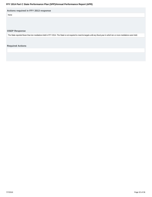# **Actions required in FFY 2013 response**

None

# **OSEP Response**

The State reported fewer than ten mediations held in FFY 2014. The State is not required to meet its targets until any fiscal year in which ten or more mediations were held.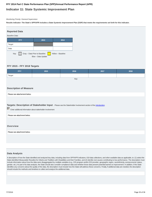# **Indicator 11: State Systemic Improvement Plan**

#### Monitoring Priority: General Supervision

**Results indicator: The State's SPP/APR includes a State Systemic Improvement Plan (SSIP) that meets the requirements set forth for this indicator.**



#### **FFY 2015 - FFY 2018 Targets**

| <b>FFY</b>                    | 2015                                                                                                                                                                                                       | 2016 | 2017 | 2018 |  |  |  |  |  |  |
|-------------------------------|------------------------------------------------------------------------------------------------------------------------------------------------------------------------------------------------------------|------|------|------|--|--|--|--|--|--|
| Target                        |                                                                                                                                                                                                            |      |      |      |  |  |  |  |  |  |
|                               | Key:                                                                                                                                                                                                       |      |      |      |  |  |  |  |  |  |
|                               |                                                                                                                                                                                                            |      |      |      |  |  |  |  |  |  |
| <b>Description of Measure</b> |                                                                                                                                                                                                            |      |      |      |  |  |  |  |  |  |
| Please see attachement below. |                                                                                                                                                                                                            |      |      |      |  |  |  |  |  |  |
|                               |                                                                                                                                                                                                            |      |      |      |  |  |  |  |  |  |
|                               | Targets: Description of Stakeholder Input - Please see the Stakeholder Involvement section of the introduction.<br>$\boxed{\smash{\checkmark}}$ Enter additional information about stakeholder involvement |      |      |      |  |  |  |  |  |  |
| Please see attachment below.  |                                                                                                                                                                                                            |      |      |      |  |  |  |  |  |  |
| Overview                      |                                                                                                                                                                                                            |      |      |      |  |  |  |  |  |  |
| Please see attachment below.  |                                                                                                                                                                                                            |      |      |      |  |  |  |  |  |  |
|                               |                                                                                                                                                                                                            |      |      |      |  |  |  |  |  |  |
|                               |                                                                                                                                                                                                            |      |      |      |  |  |  |  |  |  |

#### **Data Analysis**

A description of how the State identified and analyzed key data, including data from SPP/APR indicators, 618 data collections, and other available data as applicable, to: (1) select the State-identified Measurable Result(s) for Infants and Toddlers with Disabilities and their Families, and (2) identify root causes contributing to low performance. The description must include information about how the data were disaggregated by multiple variables (e.g., EIS program and/or EIS provider, geographic region, race/ethnicity, socioeconomic status, gender, etc.) As part of its data analysis, the State should also consider compliance data and whether those data present potential barriers to improvement. In addition, if the State identifies any concerns about the quality of the data, the description must include how the State will address these concerns. Finally, if additional data are needed, the description should include the methods and timelines to collect and analyze the additional data.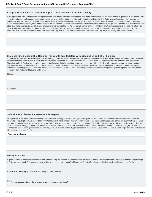#### **Analysis of State Infrastructure to Support Improvement and Build Capacity**

A description of how the State analyzed the capacity of its current infrastructure to support improvement and build capacity in EIS programs and/or EIS providers to implement, scale up, and sustain the use of evidence-based practices to improve results for infants and toddlers with disabilities and their families. State systems that make up its infrastructure include, at a minimum: governance, fiscal, quality standards, professional development, data, technical assistance, and accountability/monitoring. The description must include current strengths of the systems, the extent the systems are coordinated, and areas for improvement of functioning within and across the systems. The State must also identify current State-level improvement plans and other early learning initiatives, such as Race to the Top-Early Learning Challenge and the Home Visiting program and describe the extent that these new initiatives are aligned, and how they are, or could be, integrated with, the SSIP. Finally, the State should identify representatives (e.g., offices, agencies, positions, individuals, and other stakeholders) that were involved in developing Phase I of the SSIP and that will be involved in developing and implementing Phase II of the SSIP.

# **State-identified Measurable Result(s) for Infants and Toddlers with Disabilities and Their Families**

A statement of the result(s) the State intends to achieve through the implementation of the SSIP. The State-identified Measurable Result(s) for Infants and Toddlers with Disabilities and their Families must be aligned to an SPP/APR indicator or a component of an SPP/APR indicator. The State-identified Measurable Result(s) for Infants and Toddlers with Disabilities and their Families must be clearly based on the Data and State Infrastructure Analyses and must be a child- or family-level outcome in contrast to a process outcome. The State may select a single result (e.g., increase the rate of growth in infants and toddlers demonstrating positive social-emotional skills) or a cluster of related results (e.g., increase the percentage reported under child outcome B under Indicator 3 of the SPP/APR (knowledge and skills) and increase the percentage trend reported for families under Indicator 4 (helping their child develop and learn)).

**Statement** 

**Description** 

#### **Selection of Coherent Improvement Strategies**

An explanation of how the improvement strategies were selected, and why they are sound, logical and aligned, and will lead to a measurable improvement in the State-identified Measurable Result(s) for Infants and Toddlers with Disabilities and their Families. The improvement strategies should include the strategies, identified through the Data and State Infrastructure Analyses, that are needed to improve the State infrastructure and to support EIS program and/or EIS provider implementation of evidence-based practices to improve the State-identified result(s) for infants and toddlers with disabilities and their families. The State must describe how implementation of the improvement strategies will address identified root causes for low performance and ultimately build EIS program and/or EIS provider capacity to achieve the State-identified Measurable Result(s) for Infants and Toddlers with Disabilities and their Families.

#### Please see attachement.

### **Theory of Action**

A graphic illustration that shows the rationale of how implementing the coherent set of improvement strategies selected will increase the State's capacity to lead meaningful change in EIS programs and/or EIS providers, and achieve improvement in the State-identified Measurable Result(s) for Infants and Toddlers with Disabilities and their Families.

**Submitted Theory of Action: No Theory of Action Submitted** 

**Provide a description of the provided graphic illustration (optional)**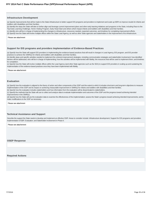#### **Infrastructure Development**

(a) Specify improvements that will be made to the State infrastructure to better support EIS programs and providers to implement and scale up EBPs to improve results for infants and toddlers with disabilities and their families.

(b) Identify the steps the State will take to further align and leverage current improvement plans and other early learning initiatives and programs in the State, including Race to the Top-Early Learning Challenge, Home Visiting Program, Early Head Start and others which impact infants and toddlers with disabilities and their families.

(c) Identify who will be in charge of implementing the changes to infrastructure, resources needed, expected outcomes, and timelines for completing improvement efforts.

(d) Specify how the State will involve multiple offices within the State Lead Agency, as well as other State agencies and stakeholders in the improvement of its infrastructure.

Please see attachment

#### **Support for EIS programs and providers Implementation of Evidence-Based Practices**

(a) Specify how the State will support EIS providers in implementing the evidence-based practices that will result in changes in Lead Agency, EIS program, and EIS provider practices to achieve the SIMR(s) for infants and toddlers with disabilities and their families.

(b) Identify steps and specific activities needed to implement the coherent improvement strategies, including communication strategies and stakeholder involvement; how identified barriers will be addressed; who will be in charge of implementing; how the activities will be implemented with fidelity; the resources that will be used to implement them; and timelines for completion.

(c) Specify how the State will involve multiple offices within the Lead Agency (and other State agencies such as the SEA) to support EIS providers in scaling up and sustaining the implementation of the evidence-based practices once they have been implemented with fidelity.

Please see attachement

#### **Evaluation**

(a) Specify how the evaluation is aligned to the theory of action and other components of the SSIP and the extent to which it includes short-term and long-term objectives to measure implementation of the SSIP and its impact on achieving measurable improvement in SIMR(s) for infants and toddlers with disabilities and their families.

(b) Specify how the evaluation includes stakeholders and how information from the evaluation will be disseminated to stakeholders.

(c) Specify the methods that the State will use to collect and analyze data to evaluate implementation and outcomes of the SSIP and the progress toward achieving intended improvements in the SIMR(s).

(d) Specify how the State will use the evaluation data to examine the effectiveness of the implementation; assess the State's progress toward achieving intended improvements; and to make modifications to the SSIP as necessary.

Please see attachment

#### **Technical Assistance and Support**

Describe the support the State needs to develop and implement an effective SSIP. Areas to consider include: Infrastructure development; Support for EIS programs and providers implementation of EBP; Evaluation; and Stakeholder involvement in Phase II.

Please see attachement

#### **OSEP Response**